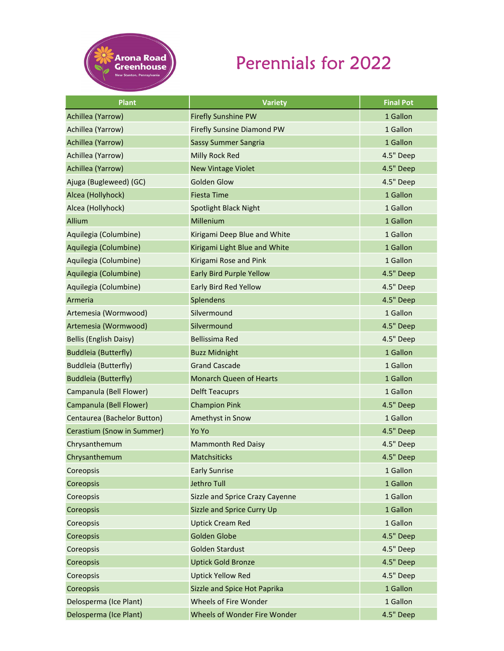

## Perennials for 2022

| <b>Plant</b>                  | <b>Variety</b>                    | <b>Final Pot</b> |
|-------------------------------|-----------------------------------|------------------|
| Achillea (Yarrow)             | <b>Firefly Sunshine PW</b>        | 1 Gallon         |
| Achillea (Yarrow)             | <b>Firefly Sunsine Diamond PW</b> | 1 Gallon         |
| Achillea (Yarrow)             | <b>Sassy Summer Sangria</b>       | 1 Gallon         |
| Achillea (Yarrow)             | Milly Rock Red                    | 4.5" Deep        |
| Achillea (Yarrow)             | <b>New Vintage Violet</b>         | 4.5" Deep        |
| Ajuga (Bugleweed) (GC)        | <b>Golden Glow</b>                | 4.5" Deep        |
| Alcea (Hollyhock)             | <b>Fiesta Time</b>                | 1 Gallon         |
| Alcea (Hollyhock)             | Spotlight Black Night             | 1 Gallon         |
| Allium                        | Millenium                         | 1 Gallon         |
| Aquilegia (Columbine)         | Kirigami Deep Blue and White      | 1 Gallon         |
| Aquilegia (Columbine)         | Kirigami Light Blue and White     | 1 Gallon         |
| Aquilegia (Columbine)         | Kirigami Rose and Pink            | 1 Gallon         |
| Aquilegia (Columbine)         | <b>Early Bird Purple Yellow</b>   | 4.5" Deep        |
| Aquilegia (Columbine)         | Early Bird Red Yellow             | 4.5" Deep        |
| Armeria                       | Splendens                         | 4.5" Deep        |
| Artemesia (Wormwood)          | Silvermound                       | 1 Gallon         |
| Artemesia (Wormwood)          | Silvermound                       | 4.5" Deep        |
| <b>Bellis (English Daisy)</b> | Bellissima Red                    | 4.5" Deep        |
| <b>Buddleia (Butterfly)</b>   | <b>Buzz Midnight</b>              | 1 Gallon         |
| <b>Buddleia (Butterfly)</b>   | <b>Grand Cascade</b>              | 1 Gallon         |
| <b>Buddleia (Butterfly)</b>   | <b>Monarch Queen of Hearts</b>    | 1 Gallon         |
| Campanula (Bell Flower)       | <b>Delft Teacuprs</b>             | 1 Gallon         |
| Campanula (Bell Flower)       | <b>Champion Pink</b>              | 4.5" Deep        |
| Centaurea (Bachelor Button)   | Amethyst in Snow                  | 1 Gallon         |
| Cerastium (Snow in Summer)    | Yo Yo                             | 4.5" Deep        |
| Chrysanthemum                 | <b>Mammonth Red Daisy</b>         | 4.5" Deep        |
| Chrysanthemum                 | Matchsiticks                      | 4.5" Deep        |
| Coreopsis                     | <b>Early Sunrise</b>              | 1 Gallon         |
| Coreopsis                     | <b>Jethro Tull</b>                | 1 Gallon         |
| Coreopsis                     | Sizzle and Sprice Crazy Cayenne   | 1 Gallon         |
| Coreopsis                     | Sizzle and Sprice Curry Up        | 1 Gallon         |
| Coreopsis                     | <b>Uptick Cream Red</b>           | 1 Gallon         |
| Coreopsis                     | Golden Globe                      | 4.5" Deep        |
| Coreopsis                     | <b>Golden Stardust</b>            | 4.5" Deep        |
| Coreopsis                     | <b>Uptick Gold Bronze</b>         | 4.5" Deep        |
| Coreopsis                     | <b>Uptick Yellow Red</b>          | 4.5" Deep        |
| Coreopsis                     | Sizzle and Spice Hot Paprika      | 1 Gallon         |
| Delosperma (Ice Plant)        | Wheels of Fire Wonder             | 1 Gallon         |
| Delosperma (Ice Plant)        | Wheels of Wonder Fire Wonder      | 4.5" Deep        |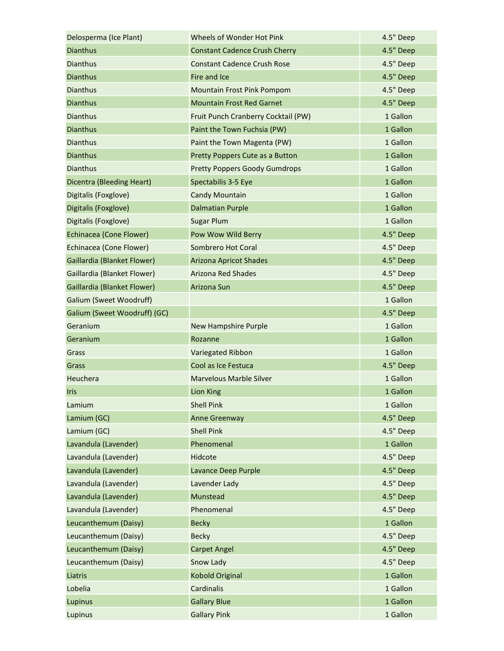| Delosperma (Ice Plant)           | Wheels of Wonder Hot Pink            | 4.5" Deep |
|----------------------------------|--------------------------------------|-----------|
| <b>Dianthus</b>                  | <b>Constant Cadence Crush Cherry</b> | 4.5" Deep |
| <b>Dianthus</b>                  | <b>Constant Cadence Crush Rose</b>   | 4.5" Deep |
| <b>Dianthus</b>                  | Fire and Ice                         | 4.5" Deep |
| <b>Dianthus</b>                  | Mountain Frost Pink Pompom           | 4.5" Deep |
| <b>Dianthus</b>                  | <b>Mountain Frost Red Garnet</b>     | 4.5" Deep |
| <b>Dianthus</b>                  | Fruit Punch Cranberry Cocktail (PW)  | 1 Gallon  |
| <b>Dianthus</b>                  | Paint the Town Fuchsia (PW)          | 1 Gallon  |
| <b>Dianthus</b>                  | Paint the Town Magenta (PW)          | 1 Gallon  |
| <b>Dianthus</b>                  | Pretty Poppers Cute as a Button      | 1 Gallon  |
| <b>Dianthus</b>                  | <b>Pretty Poppers Goody Gumdrops</b> | 1 Gallon  |
| <b>Dicentra (Bleeding Heart)</b> | Spectabilis 3-5 Eye                  | 1 Gallon  |
| Digitalis (Foxglove)             | <b>Candy Mountain</b>                | 1 Gallon  |
| Digitalis (Foxglove)             | <b>Dalmatian Purple</b>              | 1 Gallon  |
| Digitalis (Foxglove)             | <b>Sugar Plum</b>                    | 1 Gallon  |
| Echinacea (Cone Flower)          | Pow Wow Wild Berry                   | 4.5" Deep |
| Echinacea (Cone Flower)          | Sombrero Hot Coral                   | 4.5" Deep |
| Gaillardia (Blanket Flower)      | <b>Arizona Apricot Shades</b>        | 4.5" Deep |
| Gaillardia (Blanket Flower)      | <b>Arizona Red Shades</b>            | 4.5" Deep |
| Gaillardia (Blanket Flower)      | Arizona Sun                          | 4.5" Deep |
| Galium (Sweet Woodruff)          |                                      | 1 Gallon  |
| Galium (Sweet Woodruff) (GC)     |                                      | 4.5" Deep |
| Geranium                         | <b>New Hampshire Purple</b>          | 1 Gallon  |
| Geranium                         | Rozanne                              | 1 Gallon  |
| Grass                            | <b>Variegated Ribbon</b>             | 1 Gallon  |
| Grass                            | Cool as Ice Festuca                  | 4.5" Deep |
| Heuchera                         | <b>Marvelous Marble Silver</b>       | 1 Gallon  |
| <b>Iris</b>                      | <b>Lion King</b>                     | 1 Gallon  |
| Lamium                           | <b>Shell Pink</b>                    | 1 Gallon  |
| Lamium (GC)                      | <b>Anne Greenway</b>                 | 4.5" Deep |
| Lamium (GC)                      | <b>Shell Pink</b>                    | 4.5" Deep |
| Lavandula (Lavender)             | Phenomenal                           | 1 Gallon  |
| Lavandula (Lavender)             | Hidcote                              | 4.5" Deep |
| Lavandula (Lavender)             | Lavance Deep Purple                  | 4.5" Deep |
| Lavandula (Lavender)             | Lavender Lady                        | 4.5" Deep |
| Lavandula (Lavender)             | Munstead                             | 4.5" Deep |
| Lavandula (Lavender)             | Phenomenal                           | 4.5" Deep |
| Leucanthemum (Daisy)             | <b>Becky</b>                         | 1 Gallon  |
| Leucanthemum (Daisy)             | <b>Becky</b>                         | 4.5" Deep |
| Leucanthemum (Daisy)             | <b>Carpet Angel</b>                  | 4.5" Deep |
| Leucanthemum (Daisy)             | Snow Lady                            | 4.5" Deep |
| Liatris                          | <b>Kobold Original</b>               | 1 Gallon  |
| Lobelia                          | Cardinalis                           | 1 Gallon  |
| Lupinus                          | <b>Gallary Blue</b>                  | 1 Gallon  |
| Lupinus                          | <b>Gallary Pink</b>                  | 1 Gallon  |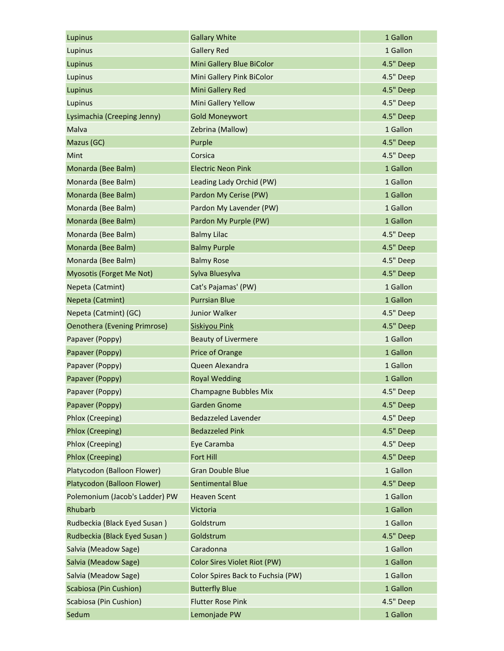| Lupinus                             | <b>Gallary White</b>              | 1 Gallon  |
|-------------------------------------|-----------------------------------|-----------|
| Lupinus                             | <b>Gallery Red</b>                | 1 Gallon  |
| Lupinus                             | Mini Gallery Blue BiColor         | 4.5" Deep |
| Lupinus                             | Mini Gallery Pink BiColor         | 4.5" Deep |
| Lupinus                             | Mini Gallery Red                  | 4.5" Deep |
| Lupinus                             | Mini Gallery Yellow               | 4.5" Deep |
| Lysimachia (Creeping Jenny)         | <b>Gold Moneywort</b>             | 4.5" Deep |
| Malva                               | Zebrina (Mallow)                  | 1 Gallon  |
| Mazus (GC)                          | Purple                            | 4.5" Deep |
| Mint                                | Corsica                           | 4.5" Deep |
| Monarda (Bee Balm)                  | <b>Electric Neon Pink</b>         | 1 Gallon  |
| Monarda (Bee Balm)                  | Leading Lady Orchid (PW)          | 1 Gallon  |
| Monarda (Bee Balm)                  | Pardon My Cerise (PW)             | 1 Gallon  |
| Monarda (Bee Balm)                  | Pardon My Lavender (PW)           | 1 Gallon  |
| Monarda (Bee Balm)                  | Pardon My Purple (PW)             | 1 Gallon  |
| Monarda (Bee Balm)                  | <b>Balmy Lilac</b>                | 4.5" Deep |
| Monarda (Bee Balm)                  | <b>Balmy Purple</b>               | 4.5" Deep |
| Monarda (Bee Balm)                  | <b>Balmy Rose</b>                 | 4.5" Deep |
| Myosotis (Forget Me Not)            | Sylva Bluesylva                   | 4.5" Deep |
| Nepeta (Catmint)                    | Cat's Pajamas' (PW)               | 1 Gallon  |
| Nepeta (Catmint)                    | <b>Purrsian Blue</b>              | 1 Gallon  |
| Nepeta (Catmint) (GC)               | <b>Junior Walker</b>              | 4.5" Deep |
| <b>Oenothera (Evening Primrose)</b> | <b>Siskiyou Pink</b>              | 4.5" Deep |
| Papaver (Poppy)                     | <b>Beauty of Livermere</b>        | 1 Gallon  |
| Papaver (Poppy)                     | Price of Orange                   | 1 Gallon  |
| Papaver (Poppy)                     | Queen Alexandra                   | 1 Gallon  |
| Papaver (Poppy)                     | <b>Royal Wedding</b>              | 1 Gallon  |
| Papaver (Poppy)                     | <b>Champagne Bubbles Mix</b>      | 4.5" Deep |
| Papaver (Poppy)                     | <b>Garden Gnome</b>               | 4.5" Deep |
| Phlox (Creeping)                    | <b>Bedazzeled Lavender</b>        | 4.5" Deep |
| Phlox (Creeping)                    | <b>Bedazzeled Pink</b>            | 4.5" Deep |
| Phlox (Creeping)                    | Eye Caramba                       | 4.5" Deep |
| Phlox (Creeping)                    | Fort Hill                         | 4.5" Deep |
| Platycodon (Balloon Flower)         | <b>Gran Double Blue</b>           | 1 Gallon  |
| Platycodon (Balloon Flower)         | <b>Sentimental Blue</b>           | 4.5" Deep |
| Polemonium (Jacob's Ladder) PW      | <b>Heaven Scent</b>               | 1 Gallon  |
| Rhubarb                             | Victoria                          | 1 Gallon  |
| Rudbeckia (Black Eyed Susan)        | Goldstrum                         | 1 Gallon  |
| Rudbeckia (Black Eyed Susan)        | Goldstrum                         | 4.5" Deep |
| Salvia (Meadow Sage)                | Caradonna                         | 1 Gallon  |
| Salvia (Meadow Sage)                | Color Sires Violet Riot (PW)      | 1 Gallon  |
| Salvia (Meadow Sage)                | Color Spires Back to Fuchsia (PW) | 1 Gallon  |
| Scabiosa (Pin Cushion)              | <b>Butterfly Blue</b>             | 1 Gallon  |
| Scabiosa (Pin Cushion)              | <b>Flutter Rose Pink</b>          | 4.5" Deep |
| Sedum                               | Lemonjade PW                      | 1 Gallon  |